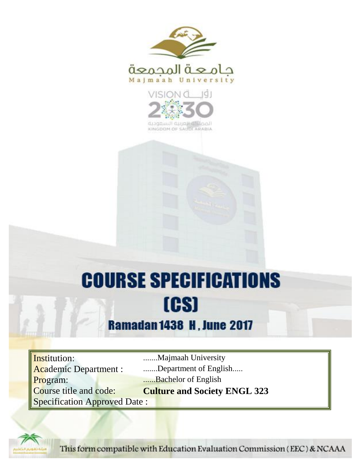



KINGDOM OF SAUDI ARABIA

# **COURSE SPECIFICATIONS** [CS]

## **Ramadan 1438 H, June 2017**

Institution: .......Majmaah University Program: ......Bachelor of English Specification Approved Date :

Academic Department : .......Department of English..... Course title and code: **Culture and Society ENGL 323**



This form compatible with Education Evaluation Commission (EEC) & NCAAA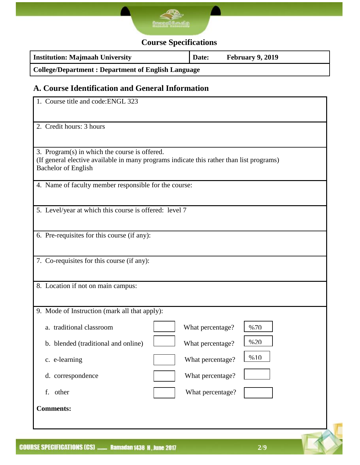

## **Course Specifications**

| <b>Institution: Majmaah University</b>                    | Date: | <b>February 9, 2019</b> |  |
|-----------------------------------------------------------|-------|-------------------------|--|
| <b>College/Department: Department of English Language</b> |       |                         |  |

## **A. Course Identification and General Information**

| 1. Course title and code: ENGL 323                                          |                                                                                          |  |  |  |
|-----------------------------------------------------------------------------|------------------------------------------------------------------------------------------|--|--|--|
| 2. Credit hours: 3 hours                                                    |                                                                                          |  |  |  |
| 3. Program(s) in which the course is offered.<br><b>Bachelor of English</b> | (If general elective available in many programs indicate this rather than list programs) |  |  |  |
| 4. Name of faculty member responsible for the course:                       |                                                                                          |  |  |  |
| 5. Level/year at which this course is offered: level 7                      |                                                                                          |  |  |  |
| 6. Pre-requisites for this course (if any):                                 |                                                                                          |  |  |  |
| 7. Co-requisites for this course (if any):                                  |                                                                                          |  |  |  |
| 8. Location if not on main campus:                                          |                                                                                          |  |  |  |
| 9. Mode of Instruction (mark all that apply):                               |                                                                                          |  |  |  |
| a. traditional classroom                                                    | What percentage?<br>%70                                                                  |  |  |  |
| b. blended (traditional and online)                                         | %20<br>What percentage?                                                                  |  |  |  |
| c. e-learning                                                               | %10<br>What percentage?                                                                  |  |  |  |
| d. correspondence                                                           | What percentage?                                                                         |  |  |  |
| f. other                                                                    | What percentage?                                                                         |  |  |  |
| <b>Comments:</b>                                                            |                                                                                          |  |  |  |
|                                                                             |                                                                                          |  |  |  |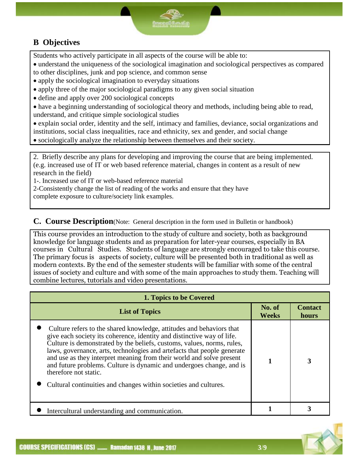## **B Objectives**

Students who actively participate in all aspects of the course will be able to:

 understand the uniqueness of the sociological imagination and sociological perspectives as compared to other disciplines, junk and pop science, and common sense

apply the sociological imagination to everyday situations

- apply three of the major sociological paradigms to any given social situation
- define and apply over 200 sociological concepts
- have a beginning understanding of sociological theory and methods, including being able to read, understand, and critique simple sociological studies

 explain social order, identity and the self, intimacy and families, deviance, social organizations and institutions, social class inequalities, race and ethnicity, sex and gender, and social change

sociologically analyze the relationship between themselves and their society.

2. Briefly describe any plans for developing and improving the course that are being implemented. (e.g. increased use of IT or web based reference material, changes in content as a result of new research in the field)

1-. Increased use of IT or web-based reference material

2-Consistently change the list of reading of the works and ensure that they have

complete exposure to culture/society link examples.

**C. Course Description**(Note: General description in the form used in Bulletin or handbook)

This course provides an introduction to the study of culture and society, both as background knowledge for language students and as preparation for later-year courses, especially in BA courses in Cultural Studies. Students of language are strongly encouraged to take this course. The primary focus is aspects of society, culture will be presented both in traditional as well as modern contexts. By the end of the semester students will be familiar with some of the central issues of society and culture and with some of the main approaches to study them. Teaching will combine lectures, tutorials and video presentations.

| 1. Topics to be Covered                                                                                                                                                                                                                                                                                                                                                                                                                                                                                                                          |                        |                         |  |
|--------------------------------------------------------------------------------------------------------------------------------------------------------------------------------------------------------------------------------------------------------------------------------------------------------------------------------------------------------------------------------------------------------------------------------------------------------------------------------------------------------------------------------------------------|------------------------|-------------------------|--|
| <b>List of Topics</b>                                                                                                                                                                                                                                                                                                                                                                                                                                                                                                                            | No. of<br><b>Weeks</b> | <b>Contact</b><br>hours |  |
| Culture refers to the shared knowledge, attitudes and behaviors that<br>give each society its coherence, identity and distinctive way of life.<br>Culture is demonstrated by the beliefs, customs, values, norms, rules,<br>laws, governance, arts, technologies and artefacts that people generate<br>and use as they interpret meaning from their world and solve present<br>and future problems. Culture is dynamic and undergoes change, and is<br>therefore not static.<br>Cultural continuities and changes within societies and cultures. |                        | 3                       |  |
| Intercultural understanding and communication.                                                                                                                                                                                                                                                                                                                                                                                                                                                                                                   |                        |                         |  |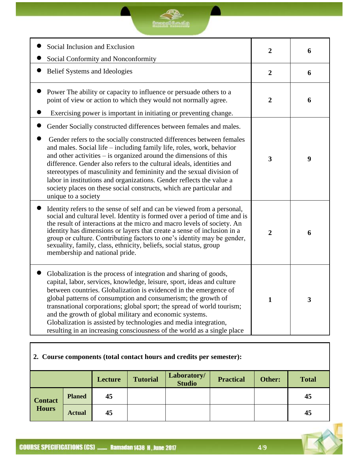## <u>SP</u> **Compall** Condia

| Social Inclusion and Exclusion<br>Social Conformity and Nonconformity                                                                                                                                                                                                                                                                                                                                                                                                                                                                                                                                              | $\overline{2}$          | 6                       |
|--------------------------------------------------------------------------------------------------------------------------------------------------------------------------------------------------------------------------------------------------------------------------------------------------------------------------------------------------------------------------------------------------------------------------------------------------------------------------------------------------------------------------------------------------------------------------------------------------------------------|-------------------------|-------------------------|
| Belief Systems and Ideologies                                                                                                                                                                                                                                                                                                                                                                                                                                                                                                                                                                                      | $\overline{2}$          | 6                       |
| Power The ability or capacity to influence or persuade others to a<br>point of view or action to which they would not normally agree.<br>Exercising power is important in initiating or preventing change.                                                                                                                                                                                                                                                                                                                                                                                                         | $\overline{2}$          | 6                       |
| Gender Socially constructed differences between females and males.<br>Gender refers to the socially constructed differences between females<br>and males. Social life – including family life, roles, work, behavior<br>and other activities $-$ is organized around the dimensions of this<br>difference. Gender also refers to the cultural ideals, identities and<br>stereotypes of masculinity and femininity and the sexual division of<br>labor in institutions and organizations. Gender reflects the value a<br>society places on these social constructs, which are particular and<br>unique to a society | $\overline{\mathbf{3}}$ | 9                       |
| Identity refers to the sense of self and can be viewed from a personal,<br>social and cultural level. Identity is formed over a period of time and is<br>the result of interactions at the micro and macro levels of society. An<br>identity has dimensions or layers that create a sense of inclusion in a<br>group or culture. Contributing factors to one's identity may be gender,<br>sexuality, family, class, ethnicity, beliefs, social status, group<br>membership and national pride.                                                                                                                     | $\overline{2}$          | 6                       |
| Globalization is the process of integration and sharing of goods,<br>capital, labor, services, knowledge, leisure, sport, ideas and culture<br>between countries. Globalization is evidenced in the emergence of<br>global patterns of consumption and consumerism; the growth of<br>transnational corporations; global sport; the spread of world tourism;<br>and the growth of global military and economic systems.<br>Globalization is assisted by technologies and media integration,<br>resulting in an increasing consciousness of the world as a single place                                              | $\mathbf{1}$            | $\overline{\mathbf{3}}$ |

## **2. Course components (total contact hours and credits per semester):**

|                |               | Lecture | <b>Tutorial</b> | Laboratory/<br><b>Studio</b> | <b>Practical</b> | Other: | <b>Total</b> |
|----------------|---------------|---------|-----------------|------------------------------|------------------|--------|--------------|
| <b>Contact</b> | <b>Planed</b> | 45      |                 |                              |                  |        | 45           |
| <b>Hours</b>   | <b>Actual</b> | 45      |                 |                              |                  |        | 45           |

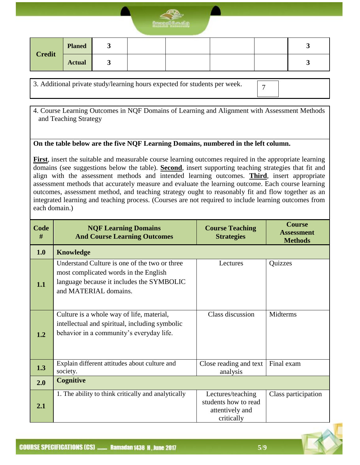

| <b>Credit</b> | <b>Planed</b> | ັ |  |  |  |
|---------------|---------------|---|--|--|--|
|               | <b>Actual</b> | ັ |  |  |  |

3. Additional private study/learning hours expected for students per week.

7

4. Course Learning Outcomes in NQF Domains of Learning and Alignment with Assessment Methods and Teaching Strategy

#### **On the table below are the five NQF Learning Domains, numbered in the left column.**

**First**, insert the suitable and measurable course learning outcomes required in the appropriate learning domains (see suggestions below the table). **Second**, insert supporting teaching strategies that fit and align with the assessment methods and intended learning outcomes. **Third**, insert appropriate assessment methods that accurately measure and evaluate the learning outcome. Each course learning outcomes, assessment method, and teaching strategy ought to reasonably fit and flow together as an integrated learning and teaching process. (Courses are not required to include learning outcomes from each domain.)

| Code<br># | <b>NQF Learning Domains</b><br><b>And Course Learning Outcomes</b>                                                                                           | <b>Course Teaching</b><br><b>Strategies</b>                                | <b>Course</b><br><b>Assessment</b><br><b>Methods</b> |
|-----------|--------------------------------------------------------------------------------------------------------------------------------------------------------------|----------------------------------------------------------------------------|------------------------------------------------------|
| 1.0       | <b>Knowledge</b>                                                                                                                                             |                                                                            |                                                      |
| 1.1       | Understand Culture is one of the two or three<br>most complicated words in the English<br>language because it includes the SYMBOLIC<br>and MATERIAL domains. | Lectures                                                                   | Quizzes                                              |
| 1.2       | Culture is a whole way of life, material,<br>intellectual and spiritual, including symbolic<br>behavior in a community's everyday life.                      | Class discussion                                                           | Midterms                                             |
| 1.3       | Explain different attitudes about culture and<br>society.                                                                                                    | Close reading and text<br>analysis                                         | Final exam                                           |
| 2.0       | <b>Cognitive</b>                                                                                                                                             |                                                                            |                                                      |
| 2.1       | 1. The ability to think critically and analytically                                                                                                          | Lectures/teaching<br>students how to read<br>attentively and<br>critically | Class participation                                  |

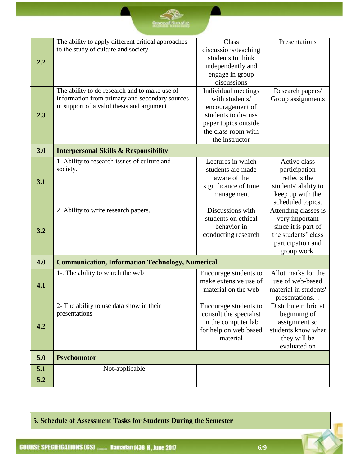|     | The ability to apply different critical approaches        | Class                                           | Presentations                              |
|-----|-----------------------------------------------------------|-------------------------------------------------|--------------------------------------------|
|     | to the study of culture and society.                      | discussions/teaching                            |                                            |
|     |                                                           | students to think                               |                                            |
| 2.2 |                                                           | independently and                               |                                            |
|     |                                                           | engage in group                                 |                                            |
|     |                                                           | discussions                                     |                                            |
|     | The ability to do research and to make use of             | Individual meetings                             | Research papers/                           |
|     | information from primary and secondary sources            | with students/                                  | Group assignments                          |
|     | in support of a valid thesis and argument                 | encouragement of                                |                                            |
| 2.3 |                                                           | students to discuss                             |                                            |
|     |                                                           | paper topics outside                            |                                            |
|     |                                                           | the class room with                             |                                            |
|     |                                                           | the instructor                                  |                                            |
| 3.0 | <b>Interpersonal Skills &amp; Responsibility</b>          |                                                 |                                            |
|     | 1. Ability to research issues of culture and              | Lectures in which                               | Active class                               |
|     | society.                                                  | students are made                               | participation                              |
| 3.1 |                                                           | aware of the                                    | reflects the                               |
|     |                                                           | significance of time                            | students' ability to                       |
|     |                                                           | management                                      | keep up with the                           |
|     |                                                           |                                                 | scheduled topics.                          |
|     | 2. Ability to write research papers.                      | Discussions with                                | Attending classes is                       |
|     |                                                           | students on ethical<br>behavior in              | very important                             |
| 3.2 |                                                           | conducting research                             | since it is part of<br>the students' class |
|     |                                                           |                                                 | participation and                          |
|     |                                                           |                                                 | group work.                                |
|     |                                                           |                                                 |                                            |
| 4.0 | <b>Communication, Information Technology, Numerical</b>   |                                                 |                                            |
|     | 1-. The ability to search the web                         | Encourage students to                           | Allot marks for the                        |
| 4.1 |                                                           | make extensive use of                           | use of web-based                           |
|     |                                                           | material on the web                             | material in students'                      |
|     |                                                           |                                                 | presentations.                             |
|     | 2- The ability to use data show in their<br>presentations | Encourage students to<br>consult the specialist | Distribute rubric at                       |
|     |                                                           | in the computer lab                             | beginning of<br>assignment so              |
| 4.2 |                                                           | for help on web based                           | students know what                         |
|     |                                                           | material                                        | they will be                               |
|     |                                                           |                                                 | evaluated on                               |
| 5.0 | <b>Psychomotor</b>                                        |                                                 |                                            |
| 5.1 | Not-applicable                                            |                                                 |                                            |
|     |                                                           |                                                 |                                            |
| 5.2 |                                                           |                                                 |                                            |

**5. Schedule of Assessment Tasks for Students During the Semester**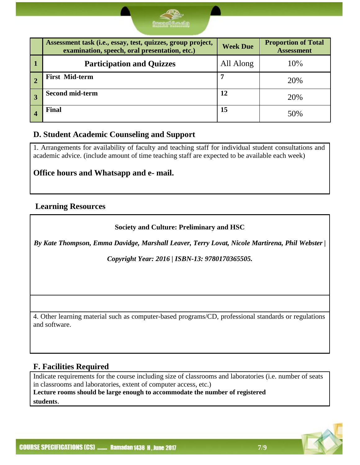

|                  | Assessment task (i.e., essay, test, quizzes, group project,<br>examination, speech, oral presentation, etc.) | <b>Week Due</b> | <b>Proportion of Total</b><br><b>Assessment</b> |
|------------------|--------------------------------------------------------------------------------------------------------------|-----------------|-------------------------------------------------|
| $\blacksquare$ 1 | <b>Participation and Quizzes</b>                                                                             | All Along       | 10%                                             |
|                  | <b>First Mid-term</b>                                                                                        |                 | 20%                                             |
|                  | <b>Second mid-term</b>                                                                                       | 12              | 20%                                             |
|                  | <b>Final</b>                                                                                                 | 15              | 50%                                             |

#### **D. Student Academic Counseling and Support**

1. Arrangements for availability of faculty and teaching staff for individual student consultations and academic advice. (include amount of time teaching staff are expected to be available each week)

#### **Office hours and Whatsapp and e- mail.**

#### **Learning Resources**

**Society and Culture: Preliminary and HSC**

*By Kate Thompson, Emma Davidge, Marshall Leaver, Terry Lovat, Nicole Martirena, Phil Webster |* 

*Copyright Year: 2016 | ISBN-13: 9780170365505.*

4. Other learning material such as computer-based programs/CD, professional standards or regulations and software.

#### **F. Facilities Required**

Indicate requirements for the course including size of classrooms and laboratories (i.e. number of seats in classrooms and laboratories, extent of computer access, etc.) **Lecture rooms should be large enough to accommodate the number of registered students**.

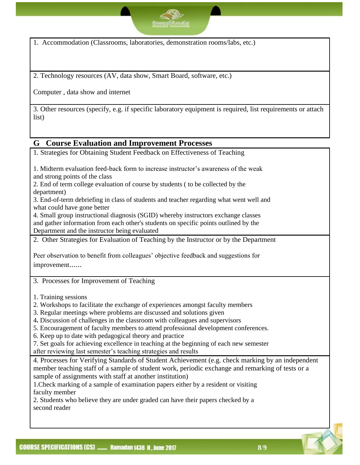1. Accommodation (Classrooms, laboratories, demonstration rooms/labs, etc.)

2. Technology resources (AV, data show, Smart Board, software, etc.)

Computer , data show and internet

3. Other resources (specify, e.g. if specific laboratory equipment is required, list requirements or attach list)

#### **G Course Evaluation and Improvement Processes**

1. Strategies for Obtaining Student Feedback on Effectiveness of Teaching 1. Midterm evaluation feed-back form to increase instructor's awareness of the weak and strong points of the class 2. End of term college evaluation of course by students ( to be collected by the department) 3. End-of-term debriefing in class of students and teacher regarding what went well and what could have gone better 4. Small group instructional diagnosis (SGID) whereby instructors exchange classes and gather information from each other's students on specific points outlined by the Department and the instructor being evaluated 2. Other Strategies for Evaluation of Teaching by the Instructor or by the Department Peer observation to benefit from colleagues' objective feedback and suggestions for improvement......

3. Processes for Improvement of Teaching

1. Training sessions

- 2. Workshops to facilitate the exchange of experiences amongst faculty members
- 3. Regular meetings where problems are discussed and solutions given
- 4**.** Discussion of challenges in the classroom with colleagues and supervisors
- 5. Encouragement of faculty members to attend professional development conferences.
- 6. Keep up to date with pedagogical theory and practice
- 7. Set goals for achieving excellence in teaching at the beginning of each new semester after reviewing last semester's teaching strategies and results

4. Processes for Verifying Standards of Student Achievement (e.g. check marking by an independent member teaching staff of a sample of student work, periodic exchange and remarking of tests or a sample of assignments with staff at another institution)

1.Check marking of a sample of examination papers either by a resident or visiting faculty member

2. Students who believe they are under graded can have their papers checked by a second reader